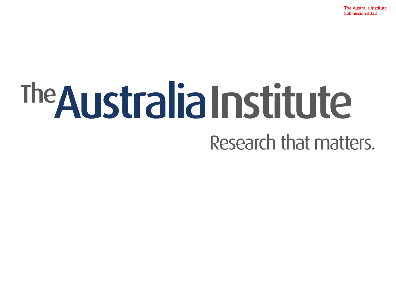The Australia Institute Submission #322

# The Australia Institute Research that matters.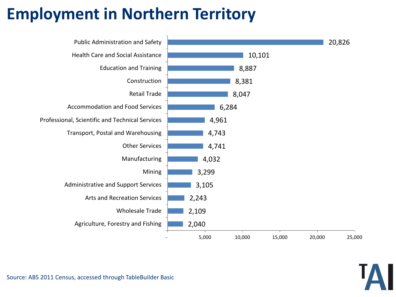## **Employment in Northern Territory**

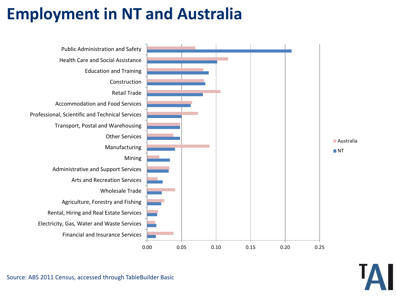## **Employment in NT and Australia**

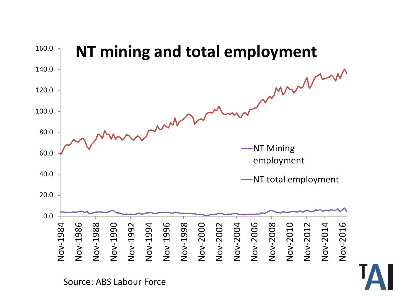

Source: ABS Labour Force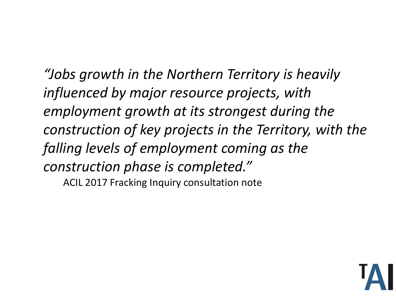*"Jobs growth in the Northern Territory is heavily influenced by major resource projects, with employment growth at its strongest during the construction of key projects in the Territory, with the falling levels of employment coming as the construction phase is completed."*  ACIL 2017 Fracking Inquiry consultation note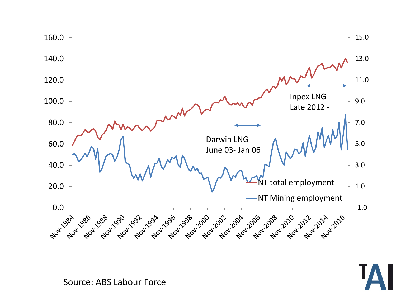



Source: ABS Labour Force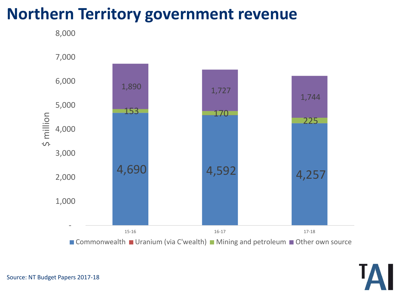## **Northern Territory government revenue**



■ Commonwealth ■ Uranium (via C'wealth) ■ Mining and petroleum ■ Other own source

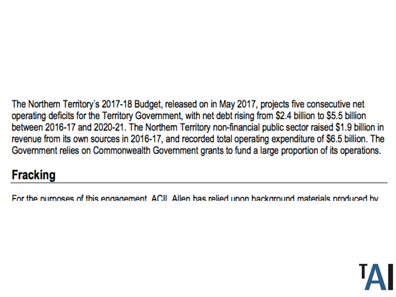The Northern Territory's 2017-18 Budget, released on in May 2017, projects five consecutive net operating deficits for the Territory Government, with net debt rising from \$2.4 billion to \$5.5 billion between 2016-17 and 2020-21. The Northern Territory non-financial public sector raised \$1.9 billion in revenue from its own sources in 2016-17, and recorded total operating expenditure of \$6.5 billion. The Government relies on Commonwealth Government grants to fund a large proportion of its operations.

### **Fracking**

For the nurnoses of this engagement. ACIL Allen has relied upon background materials produced by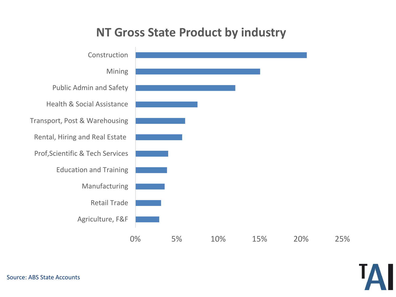#### **NT Gross State Product by industry**



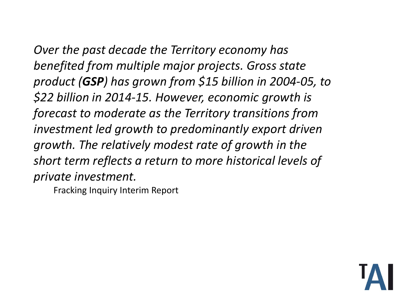*Over the past decade the Territory economy has benefited from multiple major projects. Gross state product (GSP) has grown from \$15 billion in 2004-05, to \$22 billion in 2014-15. However, economic growth is forecast to moderate as the Territory transitions from investment led growth to predominantly export driven growth. The relatively modest rate of growth in the short term reflects a return to more historical levels of private investment.*

Fracking Inquiry Interim Report

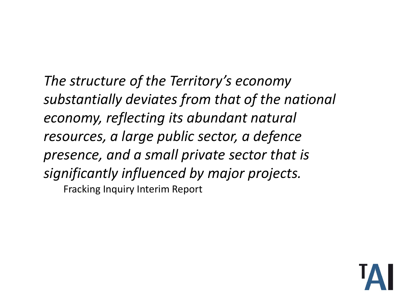*The structure of the Territory's economy substantially deviates from that of the national economy, reflecting its abundant natural resources, a large public sector, a defence presence, and a small private sector that is significantly influenced by major projects.*  Fracking Inquiry Interim Report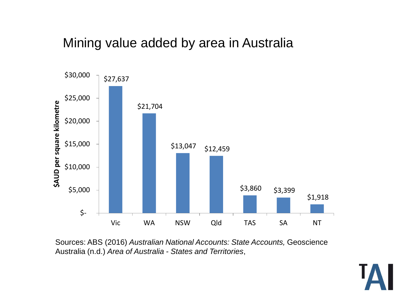#### Mining value added by area in Australia



Sources: ABS (2016) *Australian National Accounts: State Accounts,* Geoscience Australia (n.d.) *Area of Australia - States and Territories*,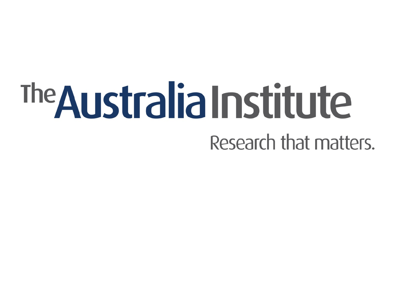# The Australia Institute Research that matters.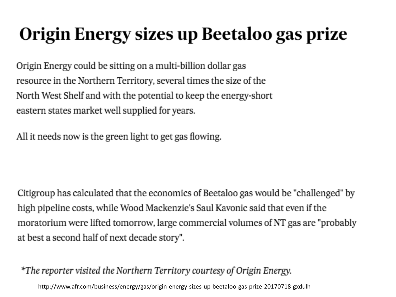## Origin Energy sizes up Beetaloo gas prize

Origin Energy could be sitting on a multi-billion dollar gas resource in the Northern Territory, several times the size of the North West Shelf and with the potential to keep the energy-short eastern states market well supplied for years.

All it needs now is the green light to get gas flowing.

Citigroup has calculated that the economics of Beetaloo gas would be "challenged" by high pipeline costs, while Wood Mackenzie's Saul Kavonic said that even if the moratorium were lifted tomorrow, large commercial volumes of NT gas are "probably" at best a second half of next decade story".

\*The reporter visited the Northern Territory courtesy of Origin Energy.

http://www.afr.com/business/energy/gas/origin-energy-sizes-up-beetaloo-gas-prize-20170718-gxdulh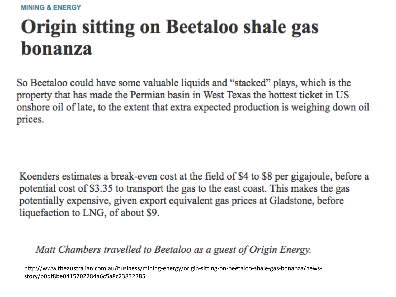# **Origin sitting on Beetaloo shale gas** bonanza

So Beetaloo could have some valuable liquids and "stacked" plays, which is the property that has made the Permian basin in West Texas the hottest ticket in US onshore oil of late, to the extent that extra expected production is weighing down oil prices.

Koenders estimates a break-even cost at the field of \$4 to \$8 per gigajoule, before a potential cost of \$3.35 to transport the gas to the east coast. This makes the gas potentially expensive, given export equivalent gas prices at Gladstone, before liquefaction to LNG, of about \$9.

#### Matt Chambers travelled to Beetaloo as a guest of Origin Energy.

http://www.theaustralian.com.au/business/mining-energy/origin-sitting-on-beetaloo-shale-gas-bonanza/newsstory/b0df8be0415702284a6c5a8c23832285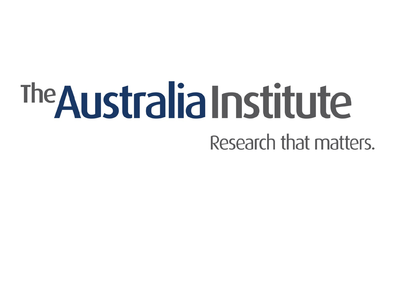# The Australia Institute Research that matters.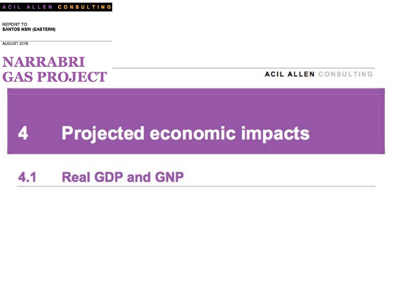**REPORT TO SANTOS NSW (EASTERN)** 

AUGUST 2016

### **NARRABRI GAS PROJECT**

ACIL ALLEN CONSULTING

#### **Projected economic impacts** 4

#### $4.1$ **Real GDP and GNP**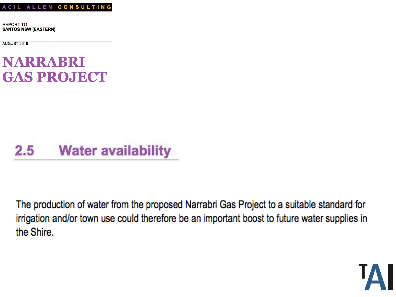**REPORT TO SANTOS NSW (EASTERN)** 

AUGUST 2016

### **NARRABRI GAS PROJECT**

#### $2.5\,$ **Water availability**

The production of water from the proposed Narrabri Gas Project to a suitable standard for irrigation and/or town use could therefore be an important boost to future water supplies in the Shire.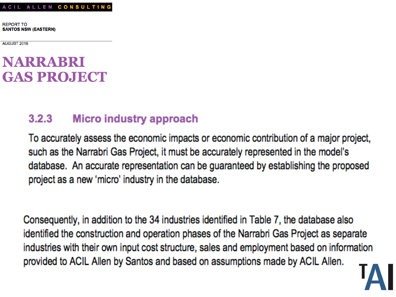**REPORT TO SANTOS NSW (EASTERN)** 

AUGUST 2016

### **NARRABRI GAS PROJECT**

#### $3.2.3$ **Micro industry approach**

To accurately assess the economic impacts or economic contribution of a major project, such as the Narrabri Gas Project, it must be accurately represented in the model's database. An accurate representation can be guaranteed by establishing the proposed project as a new 'micro' industry in the database.

Consequently, in addition to the 34 industries identified in Table 7, the database also identified the construction and operation phases of the Narrabri Gas Project as separate industries with their own input cost structure, sales and employment based on information provided to ACIL Allen by Santos and based on assumptions made by ACIL Allen.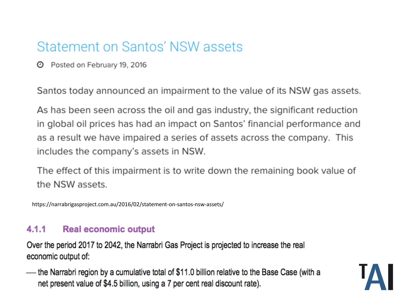## Statement on Santos' NSW assets

**4** Posted on February 19, 2016

Santos today announced an impairment to the value of its NSW gas assets.

As has been seen across the oil and gas industry, the significant reduction in global oil prices has had an impact on Santos' financial performance and as a result we have impaired a series of assets across the company. This includes the company's assets in NSW.

The effect of this impairment is to write down the remaining book value of the NSW assets.

https://narrabrigasproject.com.au/2016/02/statement-on-santos-nsw-assets/

#### $4.1.1$ **Real economic output**

Over the period 2017 to 2042, the Narrabri Gas Project is projected to increase the real economic output of:

the Narrabri region by a cumulative total of \$11.0 billion relative to the Base Case (with a net present value of \$4.5 billion, using a 7 per cent real discount rate).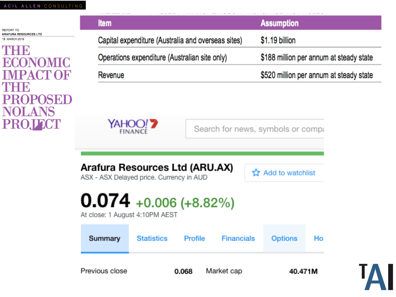Previous close

| REPORT TO                                                                                                   | <b>Item</b>                                                                                                                                                                                                                                  | <b>Assumption</b>                                                             |
|-------------------------------------------------------------------------------------------------------------|----------------------------------------------------------------------------------------------------------------------------------------------------------------------------------------------------------------------------------------------|-------------------------------------------------------------------------------|
| <b>ARAFURA RESOURCES LTD</b><br>18 MARCH 2016<br><b>ECONOMIC</b><br>IMPACT OF<br>ТНЕ<br>PROPOSED<br>PROJTCT | Capital expenditure (Australia and overseas sites)                                                                                                                                                                                           | \$1.19 billion                                                                |
|                                                                                                             | Operations expenditure (Australian site only)                                                                                                                                                                                                | \$188 million per annum at steady state                                       |
|                                                                                                             | Revenue                                                                                                                                                                                                                                      | \$520 million per annum at steady state                                       |
|                                                                                                             | YAHOO! ?<br><b>FINANCI</b><br>Arafura Resources Ltd (ARU.AX)<br>ASX - ASX Delayed price. Currency in AUD<br>$0.074$ +0.006 (+8.82%)<br>At close: 1 August 4:10PM AEST<br>Summary<br><b>Statistics</b><br><b>Financials</b><br><b>Profile</b> | Search for news, symbols or compa<br>Add to watchlist<br><b>Options</b><br>Ho |

Market cap

0.068



40.471M